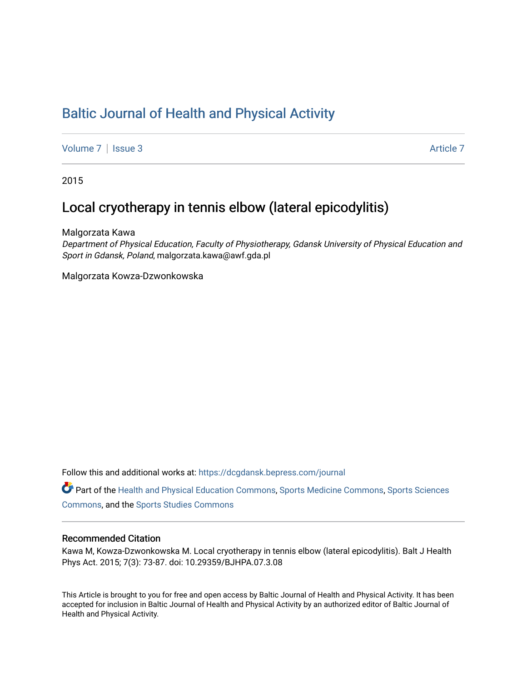# [Baltic Journal of Health and Physical Activity](https://dcgdansk.bepress.com/journal)

[Volume 7](https://dcgdansk.bepress.com/journal/vol7) | [Issue 3](https://dcgdansk.bepress.com/journal/vol7/iss3) Article 7

2015

# Local cryotherapy in tennis elbow (lateral epicodylitis)

Malgorzata Kawa

Department of Physical Education, Faculty of Physiotherapy, Gdansk University of Physical Education and Sport in Gdansk, Poland, malgorzata.kawa@awf.gda.pl

Malgorzata Kowza-Dzwonkowska

Follow this and additional works at: [https://dcgdansk.bepress.com/journal](https://dcgdansk.bepress.com/journal?utm_source=dcgdansk.bepress.com%2Fjournal%2Fvol7%2Fiss3%2F7&utm_medium=PDF&utm_campaign=PDFCoverPages)

Part of the [Health and Physical Education Commons](http://network.bepress.com/hgg/discipline/1327?utm_source=dcgdansk.bepress.com%2Fjournal%2Fvol7%2Fiss3%2F7&utm_medium=PDF&utm_campaign=PDFCoverPages), [Sports Medicine Commons,](http://network.bepress.com/hgg/discipline/1331?utm_source=dcgdansk.bepress.com%2Fjournal%2Fvol7%2Fiss3%2F7&utm_medium=PDF&utm_campaign=PDFCoverPages) [Sports Sciences](http://network.bepress.com/hgg/discipline/759?utm_source=dcgdansk.bepress.com%2Fjournal%2Fvol7%2Fiss3%2F7&utm_medium=PDF&utm_campaign=PDFCoverPages) [Commons](http://network.bepress.com/hgg/discipline/759?utm_source=dcgdansk.bepress.com%2Fjournal%2Fvol7%2Fiss3%2F7&utm_medium=PDF&utm_campaign=PDFCoverPages), and the [Sports Studies Commons](http://network.bepress.com/hgg/discipline/1198?utm_source=dcgdansk.bepress.com%2Fjournal%2Fvol7%2Fiss3%2F7&utm_medium=PDF&utm_campaign=PDFCoverPages) 

#### Recommended Citation

Kawa M, Kowza-Dzwonkowska M. Local cryotherapy in tennis elbow (lateral epicodylitis). Balt J Health Phys Act. 2015; 7(3): 73-87. doi: 10.29359/BJHPA.07.3.08

This Article is brought to you for free and open access by Baltic Journal of Health and Physical Activity. It has been accepted for inclusion in Baltic Journal of Health and Physical Activity by an authorized editor of Baltic Journal of Health and Physical Activity.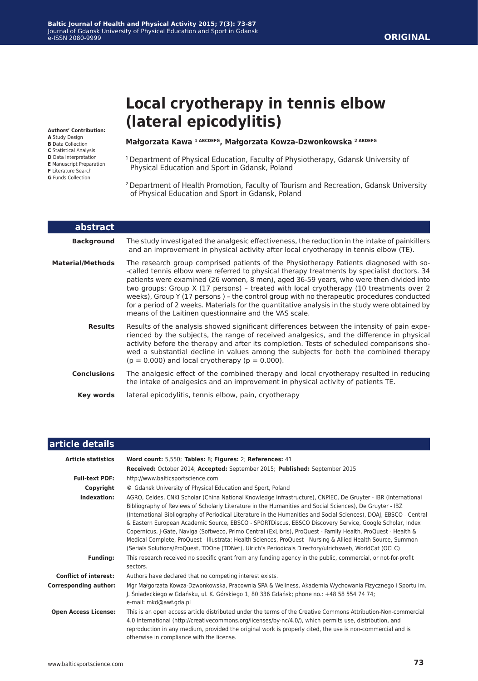**Authors' Contribution:**

- **A** Study Design
- **B** Data Collection
- **C** Statistical Analysis
- **D** Data Interpretation **E** Manuscript Preparation
- **F** Literature Search
- **G** Funds Collection

### **Małgorzata Kawa 1 ABCDEFG, Małgorzata Kowza-Dzwonkowska 2 ABDEFG**

**(lateral epicodylitis)**

**Local cryotherapy in tennis elbow** 

- <sup>1</sup> Department of Physical Education, Faculty of Physiotherapy, Gdansk University of Physical Education and Sport in Gdansk, Poland
- 2 Department of Health Promotion, Faculty of Tourism and Recreation, Gdansk University of Physical Education and Sport in Gdansk, Poland

| abstract           |                                                                                                                                                                                                                                                                                                                                                                                                                                                                                                                                                                                                                                     |
|--------------------|-------------------------------------------------------------------------------------------------------------------------------------------------------------------------------------------------------------------------------------------------------------------------------------------------------------------------------------------------------------------------------------------------------------------------------------------------------------------------------------------------------------------------------------------------------------------------------------------------------------------------------------|
| <b>Background</b>  | The study investigated the analgesic effectiveness, the reduction in the intake of painkillers<br>and an improvement in physical activity after local cryotherapy in tennis elbow (TE).                                                                                                                                                                                                                                                                                                                                                                                                                                             |
| Material/Methods   | The research group comprised patients of the Physiotherapy Patients diagnosed with so-<br>-called tennis elbow were referred to physical therapy treatments by specialist doctors. 34<br>patients were examined (26 women, 8 men), aged 36-59 years, who were then divided into<br>two groups: Group X (17 persons) - treated with local cryotherapy (10 treatments over 2<br>weeks), Group Y (17 persons) - the control group with no therapeutic procedures conducted<br>for a period of 2 weeks. Materials for the quantitative analysis in the study were obtained by<br>means of the Laitinen questionnaire and the VAS scale. |
| <b>Results</b>     | Results of the analysis showed significant differences between the intensity of pain expe-<br>rienced by the subjects, the range of received analgesics, and the difference in physical<br>activity before the therapy and after its completion. Tests of scheduled comparisons sho-<br>wed a substantial decline in values among the subjects for both the combined therapy<br>$(p = 0.000)$ and local cryotherapy $(p = 0.000)$ .                                                                                                                                                                                                 |
| <b>Conclusions</b> | The analgesic effect of the combined therapy and local cryotherapy resulted in reducing<br>the intake of analgesics and an improvement in physical activity of patients TE.                                                                                                                                                                                                                                                                                                                                                                                                                                                         |
| <b>Key words</b>   | lateral epicodylitis, tennis elbow, pain, cryotherapy                                                                                                                                                                                                                                                                                                                                                                                                                                                                                                                                                                               |

## **article details**

| <b>Article statistics</b>    | Word count: 5,550; Tables: 8; Figures: 2; References: 41                                                                                                                                                                                                                                                                                                                                                                                                                                                                                                                                                                                                                                                                                                                                             |
|------------------------------|------------------------------------------------------------------------------------------------------------------------------------------------------------------------------------------------------------------------------------------------------------------------------------------------------------------------------------------------------------------------------------------------------------------------------------------------------------------------------------------------------------------------------------------------------------------------------------------------------------------------------------------------------------------------------------------------------------------------------------------------------------------------------------------------------|
|                              | Received: October 2014; Accepted: September 2015; Published: September 2015                                                                                                                                                                                                                                                                                                                                                                                                                                                                                                                                                                                                                                                                                                                          |
| <b>Full-text PDF:</b>        | http://www.balticsportscience.com                                                                                                                                                                                                                                                                                                                                                                                                                                                                                                                                                                                                                                                                                                                                                                    |
| Copyright                    | © Gdansk University of Physical Education and Sport, Poland                                                                                                                                                                                                                                                                                                                                                                                                                                                                                                                                                                                                                                                                                                                                          |
| Indexation:                  | AGRO, Celdes, CNKI Scholar (China National Knowledge Infrastructure), CNPIEC, De Gruyter - IBR (International<br>Bibliography of Reviews of Scholarly Literature in the Humanities and Social Sciences), De Gruyter - IBZ<br>(International Bibliography of Periodical Literature in the Humanities and Social Sciences), DOAJ, EBSCO - Central<br>& Eastern European Academic Source, EBSCO - SPORTDiscus, EBSCO Discovery Service, Google Scholar, Index<br>Copernicus, J-Gate, Naviga (Softweco, Primo Central (ExLibris), ProQuest - Family Health, ProQuest - Health &<br>Medical Complete, ProQuest - Illustrata: Health Sciences, ProQuest - Nursing & Allied Health Source, Summon<br>(Serials Solutions/ProQuest, TDOne (TDNet), Ulrich's Periodicals Directory/ulrichsweb, WorldCat (OCLC) |
| <b>Funding:</b>              | This research received no specific grant from any funding agency in the public, commercial, or not-for-profit<br>sectors.                                                                                                                                                                                                                                                                                                                                                                                                                                                                                                                                                                                                                                                                            |
| <b>Conflict of interest:</b> | Authors have declared that no competing interest exists.                                                                                                                                                                                                                                                                                                                                                                                                                                                                                                                                                                                                                                                                                                                                             |
| <b>Corresponding author:</b> | Mgr Małgorzata Kowza-Dzwonkowska, Pracownia SPA & Wellness, Akademia Wychowania Fizycznego i Sportu im.<br>J. Śniadeckiego w Gdańsku, ul. K. Górskiego 1, 80 336 Gdańsk; phone no.: +48 58 554 74 74;<br>e-mail: mkd@awf.gda.pl                                                                                                                                                                                                                                                                                                                                                                                                                                                                                                                                                                      |
| <b>Open Access License:</b>  | This is an open access article distributed under the terms of the Creative Commons Attribution-Non-commercial<br>4.0 International (http://creativecommons.org/licenses/by-nc/4.0/), which permits use, distribution, and<br>reproduction in any medium, provided the original work is properly cited, the use is non-commercial and is<br>otherwise in compliance with the license.                                                                                                                                                                                                                                                                                                                                                                                                                 |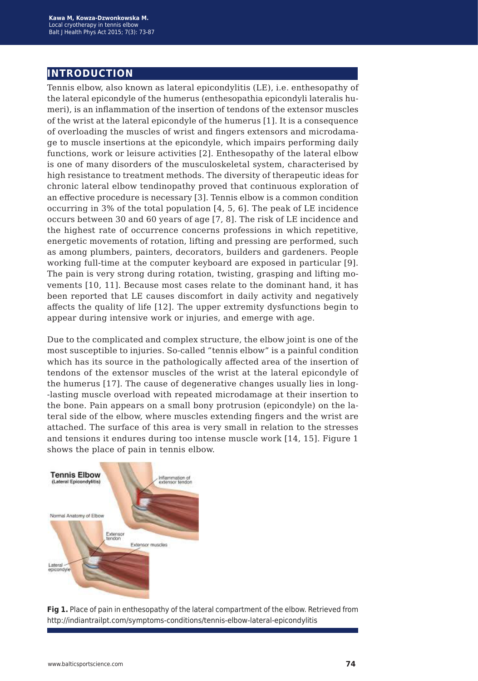# **introduction**

Tennis elbow, also known as lateral epicondylitis (LE), i.e. enthesopathy of the lateral epicondyle of the humerus (enthesopathia epicondyli lateralis humeri), is an inflammation of the insertion of tendons of the extensor muscles of the wrist at the lateral epicondyle of the humerus [1]. It is a consequence of overloading the muscles of wrist and fingers extensors and microdamage to muscle insertions at the epicondyle, which impairs performing daily functions, work or leisure activities [2]. Enthesopathy of the lateral elbow is one of many disorders of the musculoskeletal system, characterised by high resistance to treatment methods. The diversity of therapeutic ideas for chronic lateral elbow tendinopathy proved that continuous exploration of an effective procedure is necessary [3]. Tennis elbow is a common condition occurring in 3% of the total population [4, 5, 6]. The peak of LE incidence occurs between 30 and 60 years of age [7, 8]. The risk of LE incidence and the highest rate of occurrence concerns professions in which repetitive, energetic movements of rotation, lifting and pressing are performed, such as among plumbers, painters, decorators, builders and gardeners. People working full-time at the computer keyboard are exposed in particular [9]. The pain is very strong during rotation, twisting, grasping and lifting movements [10, 11]. Because most cases relate to the dominant hand, it has been reported that LE causes discomfort in daily activity and negatively affects the quality of life [12]. The upper extremity dysfunctions begin to appear during intensive work or injuries, and emerge with age.

Due to the complicated and complex structure, the elbow joint is one of the most susceptible to injuries. So-called "tennis elbow" is a painful condition which has its source in the pathologically affected area of the insertion of tendons of the extensor muscles of the wrist at the lateral epicondyle of the humerus [17]. The cause of degenerative changes usually lies in long- -lasting muscle overload with repeated microdamage at their insertion to the bone. Pain appears on a small bony protrusion (epicondyle) on the lateral side of the elbow, where muscles extending fingers and the wrist are attached. The surface of this area is very small in relation to the stresses and tensions it endures during too intense muscle work [14, 15]. Figure 1 shows the place of pain in tennis elbow.



**Fig 1.** Place of pain in enthesopathy of the lateral compartment of the elbow. Retrieved from http://indiantrailpt.com/symptoms-conditions/tennis-elbow-lateral-epicondylitis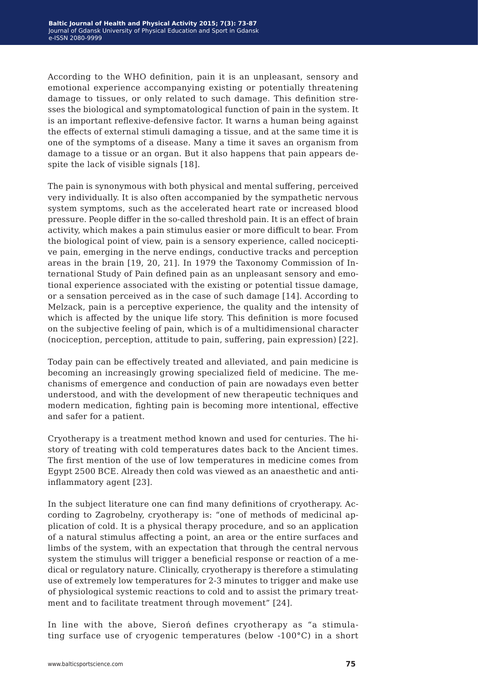According to the WHO definition, pain it is an unpleasant, sensory and emotional experience accompanying existing or potentially threatening damage to tissues, or only related to such damage. This definition stresses the biological and symptomatological function of pain in the system. It is an important reflexive-defensive factor. It warns a human being against the effects of external stimuli damaging a tissue, and at the same time it is one of the symptoms of a disease. Many a time it saves an organism from damage to a tissue or an organ. But it also happens that pain appears despite the lack of visible signals [18].

The pain is synonymous with both physical and mental suffering, perceived very individually. It is also often accompanied by the sympathetic nervous system symptoms, such as the accelerated heart rate or increased blood pressure. People differ in the so-called threshold pain. It is an effect of brain activity, which makes a pain stimulus easier or more difficult to bear. From the biological point of view, pain is a sensory experience, called nociceptive pain, emerging in the nerve endings, conductive tracks and perception areas in the brain [19, 20, 21]. In 1979 the Taxonomy Commission of International Study of Pain defined pain as an unpleasant sensory and emotional experience associated with the existing or potential tissue damage, or a sensation perceived as in the case of such damage [14]. According to Melzack, pain is a perceptive experience, the quality and the intensity of which is affected by the unique life story. This definition is more focused on the subjective feeling of pain, which is of a multidimensional character (nociception, perception, attitude to pain, suffering, pain expression) [22].

Today pain can be effectively treated and alleviated, and pain medicine is becoming an increasingly growing specialized field of medicine. The mechanisms of emergence and conduction of pain are nowadays even better understood, and with the development of new therapeutic techniques and modern medication, fighting pain is becoming more intentional, effective and safer for a patient.

Cryotherapy is a treatment method known and used for centuries. The history of treating with cold temperatures dates back to the Ancient times. The first mention of the use of low temperatures in medicine comes from Egypt 2500 BCE. Already then cold was viewed as an anaesthetic and antiinflammatory agent [23].

In the subject literature one can find many definitions of cryotherapy. According to Zagrobelny, cryotherapy is: "one of methods of medicinal application of cold. It is a physical therapy procedure, and so an application of a natural stimulus affecting a point, an area or the entire surfaces and limbs of the system, with an expectation that through the central nervous system the stimulus will trigger a beneficial response or reaction of a medical or regulatory nature. Clinically, cryotherapy is therefore a stimulating use of extremely low temperatures for 2-3 minutes to trigger and make use of physiological systemic reactions to cold and to assist the primary treatment and to facilitate treatment through movement" [24].

In line with the above, Sieroń defines cryotherapy as "a stimulating surface use of cryogenic temperatures (below -100°C) in a short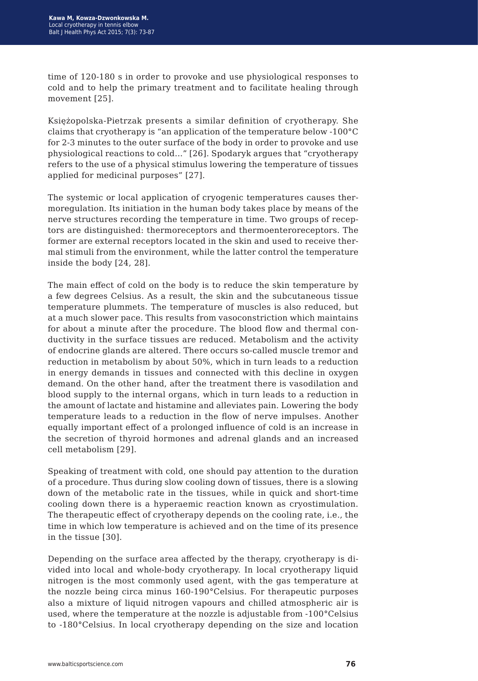time of 120-180 s in order to provoke and use physiological responses to cold and to help the primary treatment and to facilitate healing through movement [25].

Księżopolska-Pietrzak presents a similar definition of cryotherapy. She claims that cryotherapy is "an application of the temperature below -100°C for 2-3 minutes to the outer surface of the body in order to provoke and use physiological reactions to cold..." [26]. Spodaryk argues that "cryotherapy refers to the use of a physical stimulus lowering the temperature of tissues applied for medicinal purposes" [27].

The systemic or local application of cryogenic temperatures causes thermoregulation. Its initiation in the human body takes place by means of the nerve structures recording the temperature in time. Two groups of receptors are distinguished: thermoreceptors and thermoenteroreceptors. The former are external receptors located in the skin and used to receive thermal stimuli from the environment, while the latter control the temperature inside the body [24, 28].

The main effect of cold on the body is to reduce the skin temperature by a few degrees Celsius. As a result, the skin and the subcutaneous tissue temperature plummets. The temperature of muscles is also reduced, but at a much slower pace. This results from vasoconstriction which maintains for about a minute after the procedure. The blood flow and thermal conductivity in the surface tissues are reduced. Metabolism and the activity of endocrine glands are altered. There occurs so-called muscle tremor and reduction in metabolism by about 50%, which in turn leads to a reduction in energy demands in tissues and connected with this decline in oxygen demand. On the other hand, after the treatment there is vasodilation and blood supply to the internal organs, which in turn leads to a reduction in the amount of lactate and histamine and alleviates pain. Lowering the body temperature leads to a reduction in the flow of nerve impulses. Another equally important effect of a prolonged influence of cold is an increase in the secretion of thyroid hormones and adrenal glands and an increased cell metabolism [29].

Speaking of treatment with cold, one should pay attention to the duration of a procedure. Thus during slow cooling down of tissues, there is a slowing down of the metabolic rate in the tissues, while in quick and short-time cooling down there is a hyperaemic reaction known as cryostimulation. The therapeutic effect of cryotherapy depends on the cooling rate, i.e., the time in which low temperature is achieved and on the time of its presence in the tissue [30].

Depending on the surface area affected by the therapy, cryotherapy is divided into local and whole-body cryotherapy. In local cryotherapy liquid nitrogen is the most commonly used agent, with the gas temperature at the nozzle being circa minus 160-190°Celsius. For therapeutic purposes also a mixture of liquid nitrogen vapours and chilled atmospheric air is used, where the temperature at the nozzle is adjustable from -100°Celsius to -180°Celsius. In local cryotherapy depending on the size and location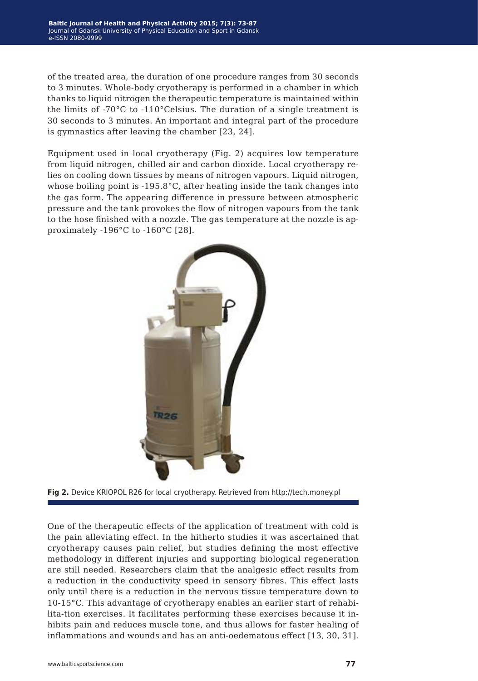of the treated area, the duration of one procedure ranges from 30 seconds to 3 minutes. Whole-body cryotherapy is performed in a chamber in which thanks to liquid nitrogen the therapeutic temperature is maintained within the limits of -70°C to -110°Celsius. The duration of a single treatment is 30 seconds to 3 minutes. An important and integral part of the procedure is gymnastics after leaving the chamber [23, 24].

Equipment used in local cryotherapy (Fig. 2) acquires low temperature from liquid nitrogen, chilled air and carbon dioxide. Local cryotherapy relies on cooling down tissues by means of nitrogen vapours. Liquid nitrogen, whose boiling point is -195.8°C, after heating inside the tank changes into the gas form. The appearing difference in pressure between atmospheric pressure and the tank provokes the flow of nitrogen vapours from the tank to the hose finished with a nozzle. The gas temperature at the nozzle is approximately -196°C to -160°C [28].





One of the therapeutic effects of the application of treatment with cold is the pain alleviating effect. In the hitherto studies it was ascertained that cryotherapy causes pain relief, but studies defining the most effective methodology in different injuries and supporting biological regeneration are still needed. Researchers claim that the analgesic effect results from a reduction in the conductivity speed in sensory fibres. This effect lasts only until there is a reduction in the nervous tissue temperature down to 10-15°C. This advantage of cryotherapy enables an earlier start of rehabilita-tion exercises. It facilitates performing these exercises because it inhibits pain and reduces muscle tone, and thus allows for faster healing of inflammations and wounds and has an anti-oedematous effect [13, 30, 31].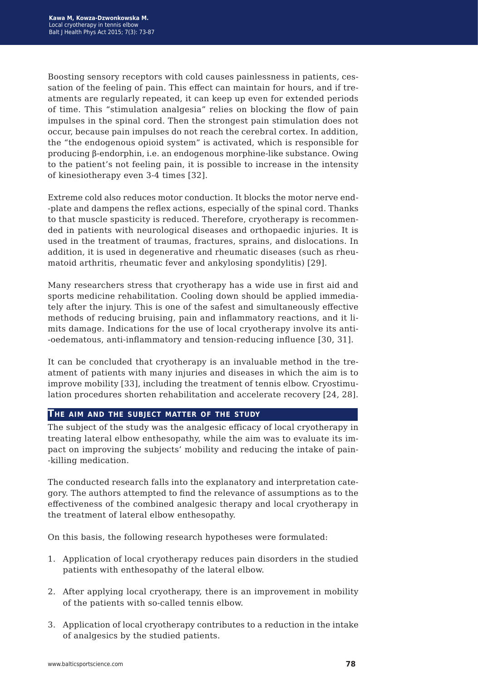Boosting sensory receptors with cold causes painlessness in patients, cessation of the feeling of pain. This effect can maintain for hours, and if treatments are regularly repeated, it can keep up even for extended periods of time. This "stimulation analgesia" relies on blocking the flow of pain impulses in the spinal cord. Then the strongest pain stimulation does not occur, because pain impulses do not reach the cerebral cortex. In addition, the "the endogenous opioid system" is activated, which is responsible for producing β-endorphin, i.e. an endogenous morphine-like substance. Owing to the patient's not feeling pain, it is possible to increase in the intensity of kinesiotherapy even 3-4 times [32].

Extreme cold also reduces motor conduction. It blocks the motor nerve end- -plate and dampens the reflex actions, especially of the spinal cord. Thanks to that muscle spasticity is reduced. Therefore, cryotherapy is recommended in patients with neurological diseases and orthopaedic injuries. It is used in the treatment of traumas, fractures, sprains, and dislocations. In addition, it is used in degenerative and rheumatic diseases (such as rheumatoid arthritis, rheumatic fever and ankylosing spondylitis) [29].

Many researchers stress that cryotherapy has a wide use in first aid and sports medicine rehabilitation. Cooling down should be applied immediately after the injury. This is one of the safest and simultaneously effective methods of reducing bruising, pain and inflammatory reactions, and it limits damage. Indications for the use of local cryotherapy involve its anti- -oedematous, anti-inflammatory and tension-reducing influence [30, 31].

It can be concluded that cryotherapy is an invaluable method in the treatment of patients with many injuries and diseases in which the aim is to improve mobility [33], including the treatment of tennis elbow. Cryostimulation procedures shorten rehabilitation and accelerate recovery [24, 28].

#### **The aim and the subject matter of the study**

The subject of the study was the analgesic efficacy of local cryotherapy in treating lateral elbow enthesopathy, while the aim was to evaluate its impact on improving the subjects' mobility and reducing the intake of pain- -killing medication.

The conducted research falls into the explanatory and interpretation category. The authors attempted to find the relevance of assumptions as to the effectiveness of the combined analgesic therapy and local cryotherapy in the treatment of lateral elbow enthesopathy.

On this basis, the following research hypotheses were formulated:

- 1. Application of local cryotherapy reduces pain disorders in the studied patients with enthesopathy of the lateral elbow.
- 2. After applying local cryotherapy, there is an improvement in mobility of the patients with so-called tennis elbow.
- 3. Application of local cryotherapy contributes to a reduction in the intake of analgesics by the studied patients.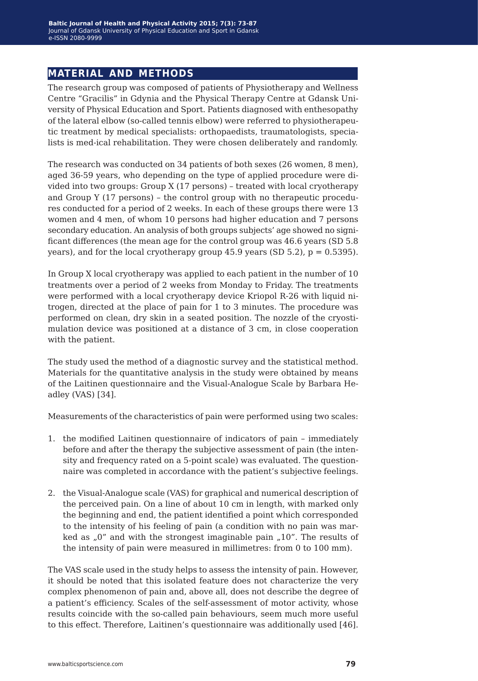# **material and methods**

The research group was composed of patients of Physiotherapy and Wellness Centre "Gracilis" in Gdynia and the Physical Therapy Centre at Gdansk University of Physical Education and Sport. Patients diagnosed with enthesopathy of the lateral elbow (so-called tennis elbow) were referred to physiotherapeutic treatment by medical specialists: orthopaedists, traumatologists, specialists is med-ical rehabilitation. They were chosen deliberately and randomly.

The research was conducted on 34 patients of both sexes (26 women, 8 men), aged 36-59 years, who depending on the type of applied procedure were divided into two groups: Group X (17 persons) – treated with local cryotherapy and Group Y (17 persons) – the control group with no therapeutic procedures conducted for a period of 2 weeks. In each of these groups there were 13 women and 4 men, of whom 10 persons had higher education and 7 persons secondary education. An analysis of both groups subjects' age showed no significant differences (the mean age for the control group was 46.6 years (SD 5.8 years), and for the local cryotherapy group  $45.9$  years (SD  $5.2$ ),  $p = 0.5395$ ).

In Group X local cryotherapy was applied to each patient in the number of 10 treatments over a period of 2 weeks from Monday to Friday. The treatments were performed with a local cryotherapy device Kriopol R-26 with liquid nitrogen, directed at the place of pain for 1 to 3 minutes. The procedure was performed on clean, dry skin in a seated position. The nozzle of the cryostimulation device was positioned at a distance of 3 cm, in close cooperation with the patient.

The study used the method of a diagnostic survey and the statistical method. Materials for the quantitative analysis in the study were obtained by means of the Laitinen questionnaire and the Visual-Analogue Scale by Barbara Headley (VAS) [34].

Measurements of the characteristics of pain were performed using two scales:

- 1. the modified Laitinen questionnaire of indicators of pain immediately before and after the therapy the subjective assessment of pain (the intensity and frequency rated on a 5-point scale) was evaluated. The questionnaire was completed in accordance with the patient's subjective feelings.
- 2. the Visual-Analogue scale (VAS) for graphical and numerical description of the perceived pain. On a line of about 10 cm in length, with marked only the beginning and end, the patient identified a point which corresponded to the intensity of his feeling of pain (a condition with no pain was marked as  $n = 0$ " and with the strongest imaginable pain  $n = 10$ ". The results of the intensity of pain were measured in millimetres: from 0 to 100 mm).

The VAS scale used in the study helps to assess the intensity of pain. However, it should be noted that this isolated feature does not characterize the very complex phenomenon of pain and, above all, does not describe the degree of a patient's efficiency. Scales of the self-assessment of motor activity, whose results coincide with the so-called pain behaviours, seem much more useful to this effect. Therefore, Laitinen's questionnaire was additionally used [46].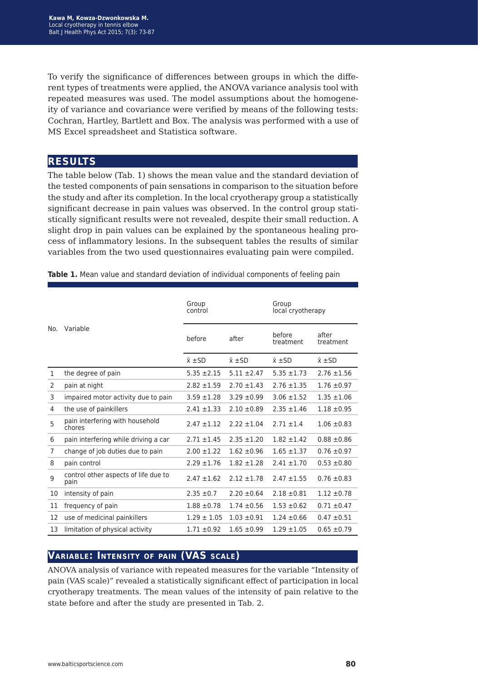To verify the significance of differences between groups in which the different types of treatments were applied, the ANOVA variance analysis tool with repeated measures was used. The model assumptions about the homogeneity of variance and covariance were verified by means of the following tests: Cochran, Hartley, Bartlett and Box. The analysis was performed with a use of MS Excel spreadsheet and Statistica software.

# **results**

The table below (Tab. 1) shows the mean value and the standard deviation of the tested components of pain sensations in comparison to the situation before the study and after its completion. In the local cryotherapy group a statistically significant decrease in pain values was observed. In the control group statistically significant results were not revealed, despite their small reduction. A slight drop in pain values can be explained by the spontaneous healing process of inflammatory lesions. In the subsequent tables the results of similar variables from the two used questionnaires evaluating pain were compiled.

|     |                                              | Group<br>control   |                    | Group<br>local cryotherapy |                    |
|-----|----------------------------------------------|--------------------|--------------------|----------------------------|--------------------|
| No. | Variable                                     | before             | after              | before<br>treatment        | after<br>treatment |
|     |                                              | $\bar{x}$ $\pm$ SD | $\bar{x}$ $\pm$ SD | $\bar{x}$ $\pm$ SD         | $\bar{x}$ $\pm$ SD |
| 1   | the degree of pain                           | $5.35 \pm 2.15$    | $5.11 \pm 2.47$    | $5.35 \pm 1.73$            | $2.76 \pm 1.56$    |
| 2   | pain at night                                | $2.82 + 1.59$      | $2.70 \pm 1.43$    | $2.76 \pm 1.35$            | $1.76 \pm 0.97$    |
| 3   | impaired motor activity due to pain          | $3.59 + 1.28$      | $3.29 \pm 0.99$    | $3.06 \pm 1.52$            | $1.35 \pm 1.06$    |
| 4   | the use of painkillers                       | $2.41 \pm 1.33$    | $2.10 \pm 0.89$    | $2.35 \pm 1.46$            | $1.18 \pm 0.95$    |
| 5   | pain interfering with household<br>chores    | $2.47 \pm 1.12$    | $2.22 + 1.04$      | $2.71 + 1.4$               | $1.06 \pm 0.83$    |
| 6   | pain interfering while driving a car         | $2.71 \pm 1.45$    | $2.35 \pm 1.20$    | $1.82 \pm 1.42$            | $0.88 \pm 0.86$    |
| 7   | change of job duties due to pain             | $2.00 \pm 1.22$    | $1.62 \pm 0.96$    | $1.65 \pm 1.37$            | $0.76 \pm 0.97$    |
| 8   | pain control                                 | $2.29 \pm 1.76$    | $1.82 \pm 1.28$    | $2.41 \pm 1.70$            | $0.53 \pm 0.80$    |
| 9   | control other aspects of life due to<br>pain | $2.47 \pm 1.62$    | $2.12 \pm 1.78$    | $2.47 \pm 1.55$            | $0.76 \pm 0.83$    |
| 10  | intensity of pain                            | $2.35 \pm 0.7$     | $2.20 \pm 0.64$    | $2.18 \pm 0.81$            | $1.12 \pm 0.78$    |
| 11  | frequency of pain                            | $1.88 \pm 0.78$    | $1.74 \pm 0.56$    | $1.53 \pm 0.62$            | $0.71 \pm 0.47$    |
| 12  | use of medicinal painkillers                 | $1.29 \pm 1.05$    | $1.03 \pm 0.91$    | $1.24 \pm 0.66$            | $0.47 \pm 0.51$    |
| 13  | limitation of physical activity              | $1.71 \pm 0.92$    | $1.65 \pm 0.99$    | $1.29 \pm 1.05$            | $0.65 \pm 0.79$    |

**Table 1.** Mean value and standard deviation of individual components of feeling pain

# **Variable: Intensity of pain (VAS scale)**

ANOVA analysis of variance with repeated measures for the variable "Intensity of pain (VAS scale)" revealed a statistically significant effect of participation in local cryotherapy treatments. The mean values of the intensity of pain relative to the state before and after the study are presented in Tab. 2.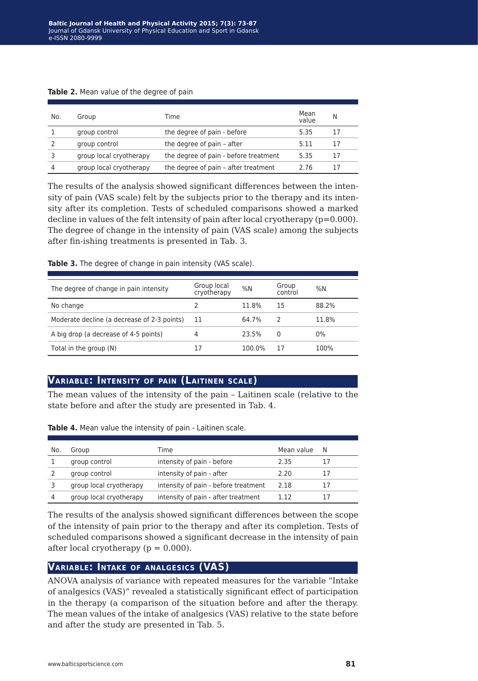| No. | Group                   | Time                                  | Mean<br>value | N  |
|-----|-------------------------|---------------------------------------|---------------|----|
|     | group control           | the degree of pain - before           | 5.35          | 17 |
|     | group control           | the degree of pain - after            | 5.11          | 17 |
|     | group local cryotherapy | the degree of pain - before treatment | 5.35          | 17 |
| 4   | group local cryotherapy | the degree of pain - after treatment  | 2.76          | 17 |

**Table 2.** Mean value of the degree of pain

The results of the analysis showed significant differences between the intensity of pain (VAS scale) felt by the subjects prior to the therapy and its intensity after its completion. Tests of scheduled comparisons showed a marked decline in values of the felt intensity of pain after local cryotherapy  $(p=0.000)$ . The degree of change in the intensity of pain (VAS scale) among the subjects after fin-ishing treatments is presented in Tab. 3.

|  |  | Table 3. The degree of change in pain intensity (VAS scale). |
|--|--|--------------------------------------------------------------|
|--|--|--------------------------------------------------------------|

| The degree of change in pain intensity      | Group local<br>cryotherapy | %N     | Group<br>control | %N    |
|---------------------------------------------|----------------------------|--------|------------------|-------|
| No change                                   |                            | 11.8%  | 15               | 88.2% |
| Moderate decline (a decrease of 2-3 points) | 11                         | 64.7%  |                  | 11.8% |
| A big drop (a decrease of 4-5 points)       | 4                          | 23.5%  | 0                | $0\%$ |
| Total in the group (N)                      | 17                         | 100.0% | 17               | 100%  |

## **Variable: Intensity of pain (Laitinen scale)**

The mean values of the intensity of the pain – Laitinen scale (relative to the state before and after the study are presented in Tab. 4.

| No. | Group                   | Time                                 | Mean value | N |
|-----|-------------------------|--------------------------------------|------------|---|
|     | group control           | intensity of pain - before           | 2.35       |   |
|     | group control           | intensity of pain - after            | 2.20       |   |
|     |                         |                                      |            |   |
|     | group local cryotherapy | intensity of pain - before treatment | 2.18       |   |
| 4   | group local cryotherapy | intensity of pain - after treatment  | 1.12       |   |

**Table 4.** Mean value the intensity of pain - Laitinen scale.

The results of the analysis showed significant differences between the scope of the intensity of pain prior to the therapy and after its completion. Tests of scheduled comparisons showed a significant decrease in the intensity of pain after local cryotherapy ( $p = 0.000$ ).

### **Variable: Intake of analgesics (VAS)**

ANOVA analysis of variance with repeated measures for the variable "Intake of analgesics (VAS)" revealed a statistically significant effect of participation in the therapy (a comparison of the situation before and after the therapy. The mean values of the intake of analgesics (VAS) relative to the state before and after the study are presented in Tab. 5.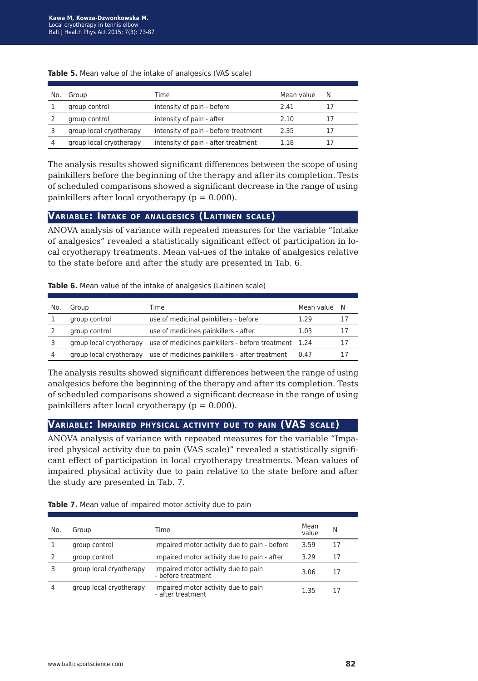| No. | Group                   | Time                                 | Mean value | N  |
|-----|-------------------------|--------------------------------------|------------|----|
|     | group control           | intensity of pain - before           | 2.41       |    |
|     | group control           | intensity of pain - after            | 2.10       | 17 |
|     | group local cryotherapy | intensity of pain - before treatment | 2.35       |    |
|     | group local cryotherapy | intensity of pain - after treatment  | 1 1 8      |    |

#### **Table 5.** Mean value of the intake of analgesics (VAS scale)

The analysis results showed significant differences between the scope of using painkillers before the beginning of the therapy and after its completion. Tests of scheduled comparisons showed a significant decrease in the range of using painkillers after local cryotherapy  $(p = 0.000)$ .

### **Variable: Intake of analgesics (Laitinen scale)**

ANOVA analysis of variance with repeated measures for the variable "Intake of analgesics" revealed a statistically significant effect of participation in local cryotherapy treatments. Mean val-ues of the intake of analgesics relative to the state before and after the study are presented in Tab. 6.

**Table 6.** Mean value of the intake of analgesics (Laitinen scale)

| No. | Group                   | Time                                                 | Mean value N |    |
|-----|-------------------------|------------------------------------------------------|--------------|----|
|     | group control           | use of medicinal painkillers - before                | 1.29         | 17 |
|     | group control           | use of medicines painkillers - after                 | 1.03         | 17 |
|     | group local cryotherapy | use of medicines painkillers - before treatment 1.24 |              | 17 |
| 4   | group local cryotherapy | use of medicines painkillers - after treatment       | 0.47         |    |

The analysis results showed significant differences between the range of using analgesics before the beginning of the therapy and after its completion. Tests of scheduled comparisons showed a significant decrease in the range of using painkillers after local cryotherapy ( $p = 0.000$ ).

#### **Variable: Impaired physical activity due to pain (VAS scale)**

ANOVA analysis of variance with repeated measures for the variable "Impaired physical activity due to pain (VAS scale)" revealed a statistically significant effect of participation in local cryotherapy treatments. Mean values of impaired physical activity due to pain relative to the state before and after the study are presented in Tab. 7.

**Table 7.** Mean value of impaired motor activity due to pain

| No. | Group                   | Time                                                      | Mean<br>value | N  |
|-----|-------------------------|-----------------------------------------------------------|---------------|----|
|     | group control           | impaired motor activity due to pain - before              | 3.59          | 17 |
|     | group control           | impaired motor activity due to pain - after               | 3.29          | 17 |
|     | group local cryotherapy | impaired motor activity due to pain<br>- before treatment | 3.06          | 17 |
|     | group local cryotherapy | impaired motor activity due to pain<br>- after treatment  | 1.35          | 17 |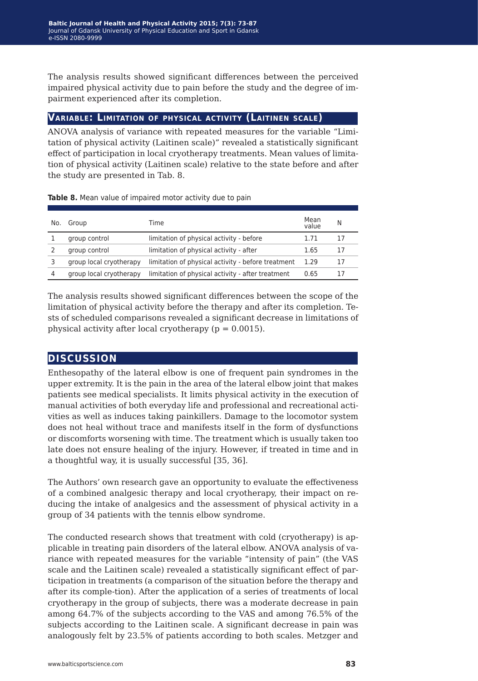The analysis results showed significant differences between the perceived impaired physical activity due to pain before the study and the degree of impairment experienced after its completion.

### **Variable: Limitation of physical activity (Laitinen scale)**

ANOVA analysis of variance with repeated measures for the variable "Limitation of physical activity (Laitinen scale)" revealed a statistically significant effect of participation in local cryotherapy treatments. Mean values of limitation of physical activity (Laitinen scale) relative to the state before and after the study are presented in Tab. 8.

| No. | Group                   | Time                                               | Mean<br>value | N  |
|-----|-------------------------|----------------------------------------------------|---------------|----|
|     | group control           | limitation of physical activity - before           | 1.71          |    |
|     | group control           | limitation of physical activity - after            | 1.65          |    |
|     | group local cryotherapy | limitation of physical activity - before treatment | 1.29          | 17 |
|     | group local cryotherapy | limitation of physical activity - after treatment  | 0.65          |    |

**Table 8.** Mean value of impaired motor activity due to pain

The analysis results showed significant differences between the scope of the limitation of physical activity before the therapy and after its completion. Tests of scheduled comparisons revealed a significant decrease in limitations of physical activity after local cryotherapy ( $p = 0.0015$ ).

# **discussion**

Enthesopathy of the lateral elbow is one of frequent pain syndromes in the upper extremity. It is the pain in the area of the lateral elbow joint that makes patients see medical specialists. It limits physical activity in the execution of manual activities of both everyday life and professional and recreational activities as well as induces taking painkillers. Damage to the locomotor system does not heal without trace and manifests itself in the form of dysfunctions or discomforts worsening with time. The treatment which is usually taken too late does not ensure healing of the injury. However, if treated in time and in a thoughtful way, it is usually successful [35, 36].

The Authors' own research gave an opportunity to evaluate the effectiveness of a combined analgesic therapy and local cryotherapy, their impact on reducing the intake of analgesics and the assessment of physical activity in a group of 34 patients with the tennis elbow syndrome.

The conducted research shows that treatment with cold (cryotherapy) is applicable in treating pain disorders of the lateral elbow. ANOVA analysis of variance with repeated measures for the variable "intensity of pain" (the VAS scale and the Laitinen scale) revealed a statistically significant effect of participation in treatments (a comparison of the situation before the therapy and after its comple-tion). After the application of a series of treatments of local cryotherapy in the group of subjects, there was a moderate decrease in pain among 64.7% of the subjects according to the VAS and among 76.5% of the subjects according to the Laitinen scale. A significant decrease in pain was analogously felt by 23.5% of patients according to both scales. Metzger and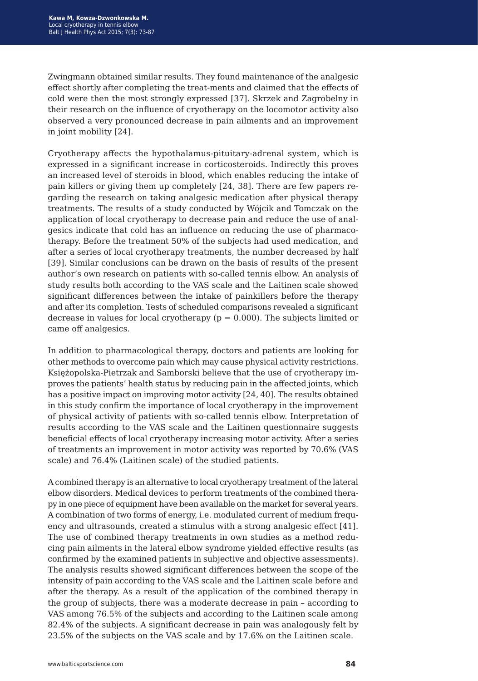Zwingmann obtained similar results. They found maintenance of the analgesic effect shortly after completing the treat-ments and claimed that the effects of cold were then the most strongly expressed [37]. Skrzek and Zagrobelny in their research on the influence of cryotherapy on the locomotor activity also observed a very pronounced decrease in pain ailments and an improvement in joint mobility [24].

Cryotherapy affects the hypothalamus-pituitary-adrenal system, which is expressed in a significant increase in corticosteroids. Indirectly this proves an increased level of steroids in blood, which enables reducing the intake of pain killers or giving them up completely [24, 38]. There are few papers regarding the research on taking analgesic medication after physical therapy treatments. The results of a study conducted by Wójcik and Tomczak on the application of local cryotherapy to decrease pain and reduce the use of analgesics indicate that cold has an influence on reducing the use of pharmacotherapy. Before the treatment 50% of the subjects had used medication, and after a series of local cryotherapy treatments, the number decreased by half [39]. Similar conclusions can be drawn on the basis of results of the present author's own research on patients with so-called tennis elbow. An analysis of study results both according to the VAS scale and the Laitinen scale showed significant differences between the intake of painkillers before the therapy and after its completion. Tests of scheduled comparisons revealed a significant decrease in values for local cryotherapy ( $p = 0.000$ ). The subjects limited or came off analgesics.

In addition to pharmacological therapy, doctors and patients are looking for other methods to overcome pain which may cause physical activity restrictions. Księżopolska-Pietrzak and Samborski believe that the use of cryotherapy improves the patients' health status by reducing pain in the affected joints, which has a positive impact on improving motor activity [24, 40]. The results obtained in this study confirm the importance of local cryotherapy in the improvement of physical activity of patients with so-called tennis elbow. Interpretation of results according to the VAS scale and the Laitinen questionnaire suggests beneficial effects of local cryotherapy increasing motor activity. After a series of treatments an improvement in motor activity was reported by 70.6% (VAS scale) and 76.4% (Laitinen scale) of the studied patients.

A combined therapy is an alternative to local cryotherapy treatment of the lateral elbow disorders. Medical devices to perform treatments of the combined therapy in one piece of equipment have been available on the market for several years. A combination of two forms of energy, i.e. modulated current of medium frequency and ultrasounds, created a stimulus with a strong analgesic effect [41]. The use of combined therapy treatments in own studies as a method reducing pain ailments in the lateral elbow syndrome yielded effective results (as confirmed by the examined patients in subjective and objective assessments). The analysis results showed significant differences between the scope of the intensity of pain according to the VAS scale and the Laitinen scale before and after the therapy. As a result of the application of the combined therapy in the group of subjects, there was a moderate decrease in pain – according to VAS among 76.5% of the subjects and according to the Laitinen scale among 82.4% of the subjects. A significant decrease in pain was analogously felt by 23.5% of the subjects on the VAS scale and by 17.6% on the Laitinen scale.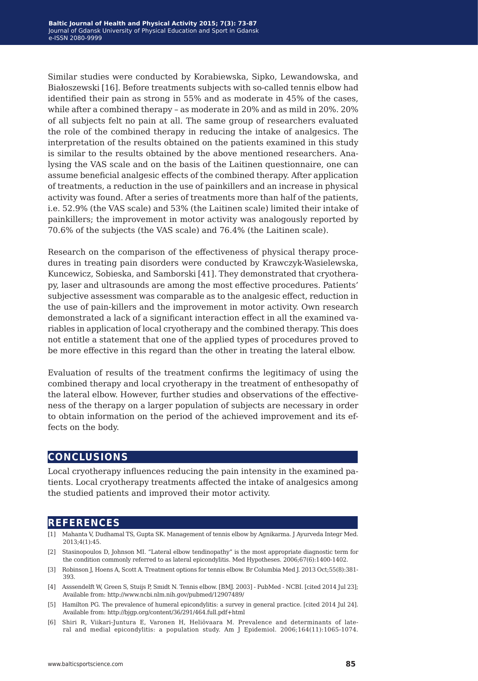Similar studies were conducted by Korabiewska, Sipko, Lewandowska, and Białoszewski [16]. Before treatments subjects with so-called tennis elbow had identified their pain as strong in 55% and as moderate in 45% of the cases, while after a combined therapy – as moderate in 20% and as mild in 20%. 20% of all subjects felt no pain at all. The same group of researchers evaluated the role of the combined therapy in reducing the intake of analgesics. The interpretation of the results obtained on the patients examined in this study is similar to the results obtained by the above mentioned researchers. Analysing the VAS scale and on the basis of the Laitinen questionnaire, one can assume beneficial analgesic effects of the combined therapy. After application of treatments, a reduction in the use of painkillers and an increase in physical activity was found. After a series of treatments more than half of the patients, i.e. 52.9% (the VAS scale) and 53% (the Laitinen scale) limited their intake of painkillers; the improvement in motor activity was analogously reported by 70.6% of the subjects (the VAS scale) and 76.4% (the Laitinen scale).

Research on the comparison of the effectiveness of physical therapy procedures in treating pain disorders were conducted by Krawczyk-Wasielewska, Kuncewicz, Sobieska, and Samborski [41]. They demonstrated that cryotherapy, laser and ultrasounds are among the most effective procedures. Patients' subjective assessment was comparable as to the analgesic effect, reduction in the use of pain-killers and the improvement in motor activity. Own research demonstrated a lack of a significant interaction effect in all the examined variables in application of local cryotherapy and the combined therapy. This does not entitle a statement that one of the applied types of procedures proved to be more effective in this regard than the other in treating the lateral elbow.

Evaluation of results of the treatment confirms the legitimacy of using the combined therapy and local cryotherapy in the treatment of enthesopathy of the lateral elbow. However, further studies and observations of the effectiveness of the therapy on a larger population of subjects are necessary in order to obtain information on the period of the achieved improvement and its effects on the body.

# **conclusions**

Local cryotherapy influences reducing the pain intensity in the examined patients. Local cryotherapy treatments affected the intake of analgesics among the studied patients and improved their motor activity.

## **references**

- [1] Mahanta V, Dudhamal TS, Gupta SK. Management of tennis elbow by Agnikarma. J Ayurveda Integr Med. 2013;4(1):45.
- [2] Stasinopoulos D, Johnson MI. "Lateral elbow tendinopathy" is the most appropriate diagnostic term for the condition commonly referred to as lateral epicondylitis. Med Hypotheses. 2006;67(6):1400-1402.
- [3] Robinson J, Hoens A, Scott A. Treatment options for tennis elbow. Br Columbia Med J. 2013 Oct;55(8):381- 393.
- [4] Asssendelft W, Green S, Stuijs P, Smidt N. Tennis elbow. [BMJ. 2003] PubMed NCBI. [cited 2014 Jul 23]; Available from: http://www.ncbi.nlm.nih.gov/pubmed/12907489/
- [5] Hamilton PG. The prevalence of humeral epicondylitis: a survey in general practice. [cited 2014 Jul 24]. Available from: http://bjgp.org/content/36/291/464.full.pdf+html
- [6] Shiri R, Viikari-Juntura E, Varonen H, Heliövaara M. Prevalence and determinants of lateral and medial epicondylitis: a population study. Am J Epidemiol. 2006;164(11):1065-1074.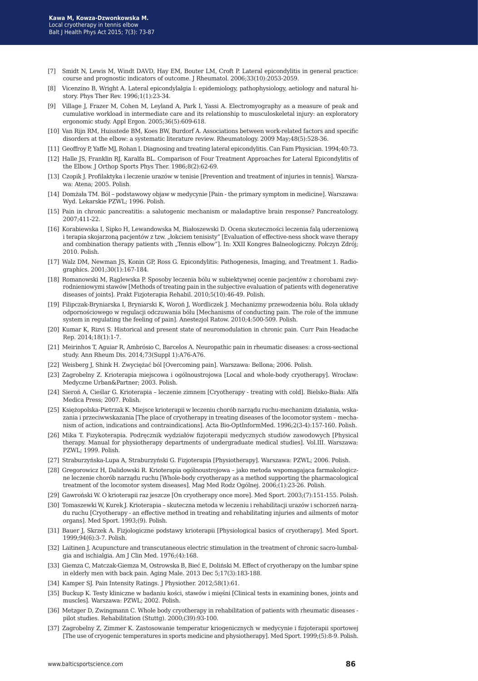- [7] Smidt N, Lewis M, Windt DAVD, Hay EM, Bouter LM, Croft P. Lateral epicondylitis in general practice: course and prognostic indicators of outcome. J Rheumatol. 2006;33(10):2053-2059.
- [8] Vicenzino B, Wright A. Lateral epicondylalgia I: epidemiology, pathophysiology, aetiology and natural history. Phys Ther Rev. 1996;1(1):23-34.
- [9] Village J, Frazer M, Cohen M, Leyland A, Park I, Yassi A. Electromyography as a measure of peak and cumulative workload in intermediate care and its relationship to musculoskeletal injury: an exploratory ergonomic study. Appl Ergon. 2005;36(5):609-618.
- [10] Van Rijn RM, Huisstede BM, Koes BW, Burdorf A. Associations between work-related factors and specific disorders at the elbow: a systematic literature review. Rheumatology. 2009 May;48(5):528-36.
- [11] Geoffroy P, Yaffe MJ, Rohan I. Diagnosing and treating lateral epicondylitis. Can Fam Physician. 1994;40:73.
- [12] Halle JS, Franklin RJ, Karalfa BL. Comparison of Four Treatment Approaches for Lateral Epicondylitis of the Elbow. J Orthop Sports Phys Ther. 1986;8(2):62-69.
- [13] Czopik J. Profilaktyka i leczenie urazów w tenisie [Prevention and treatment of injuries in tennis]. Warszawa: Atena; 2005. Polish.
- [14] Domżała TM. Ból podstawowy objaw w medycynie [Pain the primary symptom in medicine]. Warszawa: Wyd. Lekarskie PZWL; 1996. Polish.
- [15] Pain in chronic pancreatitis: a salutogenic mechanism or maladaptive brain response? Pancreatology. 2007;411-22.
- [16] Korabiewska I, Sipko H, Lewandowska M, Białoszewski D. Ocena skuteczności leczenia falą uderzeniową i terapia skojarzoną pacjentów z tzw. "łokciem tenisisty" [Evaluation of effective-ness shock wave therapy and combination therapy patients with "Tennis elbow"]. In: XXII Kongres Balneologiczny. Połczyn Zdrój; 2010. Polish.
- [17] Walz DM, Newman JS, Konin GP, Ross G. Epicondylitis: Pathogenesis, Imaging, and Treatment 1. Radiographics. 2001;30(1):167-184.
- [18] Romanowski M, Rąglewska P. Sposoby leczenia bólu w subiektywnej ocenie pacjentów z chorobami zwyrodnieniowymi stawów [Methods of treating pain in the subjective evaluation of patients with degenerative diseases of joints]. Prakt Fizjoterapia Rehabil. 2010;5(10):46-49. Polish.
- [19] Filipczak-Bryniarska I, Bryniarski K, Woroń J, Wordliczek J. Mechanizmy przewodzenia bólu. Rola układy odpornościowego w regulacji odczuwania bólu [Mechanisms of conducting pain. The role of the immune system in regulating the feeling of pain]. Anestezjol Ratow. 2010;4:500-509. Polish.
- [20] Kumar K, Rizvi S. Historical and present state of neuromodulation in chronic pain. Curr Pain Headache Rep. 2014;18(1):1-7.
- [21] Meirinhos T, Aguiar R, Ambrósio C, Barcelos A. Neuropathic pain in rheumatic diseases: a cross-sectional study. Ann Rheum Dis. 2014;73(Suppl 1):A76-A76.
- [22] Weisberg J, Shink H. Zwyciężać ból [Overcoming pain]. Warszawa: Bellona; 2006. Polish.
- [23] Zagrobelny Z. Krioterapia miejscowa i ogólnoustrojowa [Local and whole-body cryotherapy]. Wrocław: Medyczne Urban&Partner; 2003. Polish.
- [24] Sieroń A, Cieślar G. Krioterapia leczenie zimnem [Cryotherapy treating with cold]. Bielsko-Biała: Alfa Medica Press; 2007. Polish.
- [25] Księżopolska-Pietrzak K. Miejsce krioterapii w leczeniu chorób narządu ruchu-mechanizm działania, wskazania i przeciwwskazania [The place of cryotherapy in treating diseases of the locomotor system – mechanism of action, indications and contraindications]. Acta Bio-OptInformMed. 1996;2(3-4):157-160. Polish.
- [26] Mika T. Fizykoterapia. Podręcznik wydziałów fizjoterapii medycznych studiów zawodowych [Physical therapy. Manual for physiotherapy departments of undergraduate medical studies]. Vol.III. Warszawa: PZWL; 1999. Polish.
- [27] Straburzyńska-Lupa A, Straburzyński G. Fizjoterapia [Physiotherapy]. Warszawa: PZWL; 2006. Polish.
- [28] Gregorowicz H, Dalidowski R. Krioterapia ogólnoustrojowa jako metoda wspomagająca farmakologiczne leczenie chorób narządu ruchu [Whole-body cryotherapy as a method supporting the pharmacological treatment of the locomotor system diseases]. Mag Med Rodz Ogólnej. 2006;(1):23-26. Polish.
- [29] Gawroński W. O krioterapii raz jeszcze [On cryotherapy once more]. Med Sport. 2003;(7):151-155. Polish.
- [30] Tomaszewki W, Kurek J. Krioterapia skuteczna metoda w leczeniu i rehabilitacji urazów i schorzeń narządu ruchu [Cryotherapy - an effective method in treating and rehabilitating injuries and ailments of motor organs]. Med Sport. 1993;(9). Polish.
- [31] Bauer J, Skrzek A. Fizjologiczne podstawy krioterapii [Physiological basics of cryotherapy]. Med Sport. 1999;94(6):3-7. Polish.
- [32] Laitinen J. Acupuncture and transcutaneous electric stimulation in the treatment of chronic sacro-lumbalgia and ischialgia. Am J Clin Med. 1976;(4):168.
- [33] Giemza C, Matczak-Giemza M, Ostrowska B, Bieć E, Doliński M. Effect of cryotherapy on the lumbar spine in elderly men with back pain. Aging Male. 2013 Dec 5;17(3):183-188.
- [34] Kamper SJ. Pain Intensity Ratings. J Physiother. 2012;58(1):61.
- [35] Buckup K. Testy kliniczne w badaniu kości, stawów i mięśni [Clinical tests in examining bones, joints and muscles]. Warszawa: PZWL; 2002. Polish.
- [36] Metzger D, Zwingmann C. Whole body cryotherapy in rehabilitation of patients with rheumatic diseases pilot studies. Rehabilitation (Stuttg). 2000;(39):93-100.
- [37] Zagrobelny Z, Zimmer K. Zastosowanie temperatur kriogenicznych w medycynie i fizjoterapii sportowej [The use of cryogenic temperatures in sports medicine and physiotherapy]. Med Sport. 1999;(5):8-9. Polish.